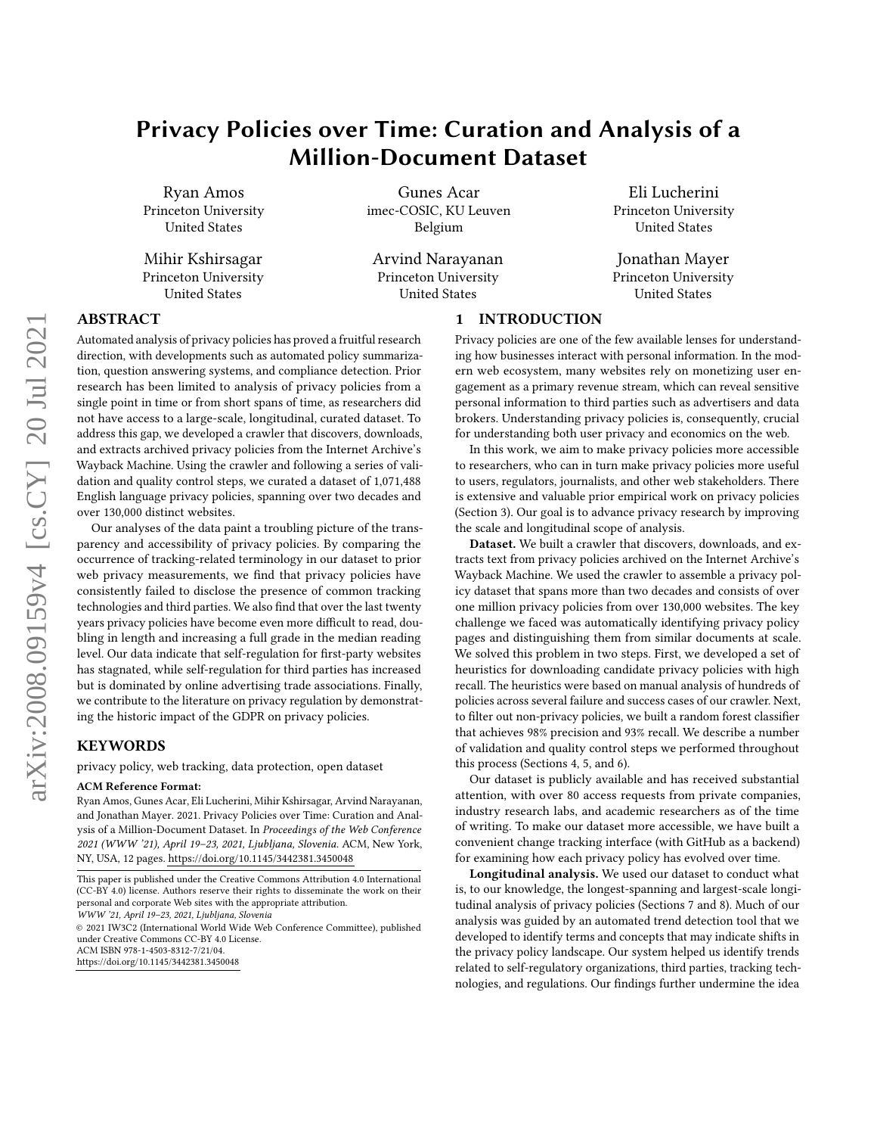# Privacy Policies over Time: Curation and Analysis of a Million-Document Dataset

Ryan Amos Princeton University United States

Mihir Kshirsagar Princeton University United States

Gunes Acar imec-COSIC, KU Leuven Belgium

Arvind Narayanan Princeton University United States

Eli Lucherini Princeton University United States

Jonathan Mayer Princeton University United States

## ABSTRACT

Automated analysis of privacy policies has proved a fruitful research direction, with developments such as automated policy summarization, question answering systems, and compliance detection. Prior research has been limited to analysis of privacy policies from a single point in time or from short spans of time, as researchers did not have access to a large-scale, longitudinal, curated dataset. To address this gap, we developed a crawler that discovers, downloads, and extracts archived privacy policies from the Internet Archive's Wayback Machine. Using the crawler and following a series of validation and quality control steps, we curated a dataset of 1,071,488 English language privacy policies, spanning over two decades and over 130,000 distinct websites.

Our analyses of the data paint a troubling picture of the transparency and accessibility of privacy policies. By comparing the occurrence of tracking-related terminology in our dataset to prior web privacy measurements, we find that privacy policies have consistently failed to disclose the presence of common tracking technologies and third parties. We also find that over the last twenty years privacy policies have become even more difficult to read, doubling in length and increasing a full grade in the median reading level. Our data indicate that self-regulation for first-party websites has stagnated, while self-regulation for third parties has increased but is dominated by online advertising trade associations. Finally, we contribute to the literature on privacy regulation by demonstrating the historic impact of the GDPR on privacy policies.

## KEYWORDS

privacy policy, web tracking, data protection, open dataset

#### ACM Reference Format:

Ryan Amos, Gunes Acar, Eli Lucherini, Mihir Kshirsagar, Arvind Narayanan, and Jonathan Mayer. 2021. Privacy Policies over Time: Curation and Analysis of a Million-Document Dataset. In Proceedings of the Web Conference 2021 (WWW '21), April 19–23, 2021, Ljubljana, Slovenia. ACM, New York, NY, USA, [12](#page-11-0) pages.<https://doi.org/10.1145/3442381.3450048>

© 2021 IW3C2 (International World Wide Web Conference Committee), published under Creative Commons CC-BY 4.0 License.

ACM ISBN 978-1-4503-8312-7/21/04.

<https://doi.org/10.1145/3442381.3450048>

1 INTRODUCTION

Privacy policies are one of the few available lenses for understanding how businesses interact with personal information. In the modern web ecosystem, many websites rely on monetizing user engagement as a primary revenue stream, which can reveal sensitive personal information to third parties such as advertisers and data brokers. Understanding privacy policies is, consequently, crucial for understanding both user privacy and economics on the web.

In this work, we aim to make privacy policies more accessible to researchers, who can in turn make privacy policies more useful to users, regulators, journalists, and other web stakeholders. There is extensive and valuable prior empirical work on privacy policies (Section [3\)](#page-1-0). Our goal is to advance privacy research by improving the scale and longitudinal scope of analysis.

Dataset. We built a crawler that discovers, downloads, and extracts text from privacy policies archived on the Internet Archive's Wayback Machine. We used the crawler to assemble a privacy policy dataset that spans more than two decades and consists of over one million privacy policies from over 130,000 websites. The key challenge we faced was automatically identifying privacy policy pages and distinguishing them from similar documents at scale. We solved this problem in two steps. First, we developed a set of heuristics for downloading candidate privacy policies with high recall. The heuristics were based on manual analysis of hundreds of policies across several failure and success cases of our crawler. Next, to filter out non-privacy policies, we built a random forest classifier that achieves 98% precision and 93% recall. We describe a number of validation and quality control steps we performed throughout this process (Sections [4,](#page-2-0) [5,](#page-4-0) and [6\)](#page-5-0).

Our dataset is publicly available and has received substantial attention, with over 80 access requests from private companies, industry research labs, and academic researchers as of the time of writing. To make our dataset more accessible, we have built a convenient change tracking interface (with GitHub as a backend) for examining how each privacy policy has evolved over time.

Longitudinal analysis. We used our dataset to conduct what is, to our knowledge, the longest-spanning and largest-scale longitudinal analysis of privacy policies (Sections [7](#page-6-0) and [8\)](#page-7-0). Much of our analysis was guided by an automated trend detection tool that we developed to identify terms and concepts that may indicate shifts in the privacy policy landscape. Our system helped us identify trends related to self-regulatory organizations, third parties, tracking technologies, and regulations. Our findings further undermine the idea

This paper is published under the Creative Commons Attribution 4.0 International (CC-BY 4.0) license. Authors reserve their rights to disseminate the work on their personal and corporate Web sites with the appropriate attribution.

WWW '21, April 19–23, 2021, Ljubljana, Slovenia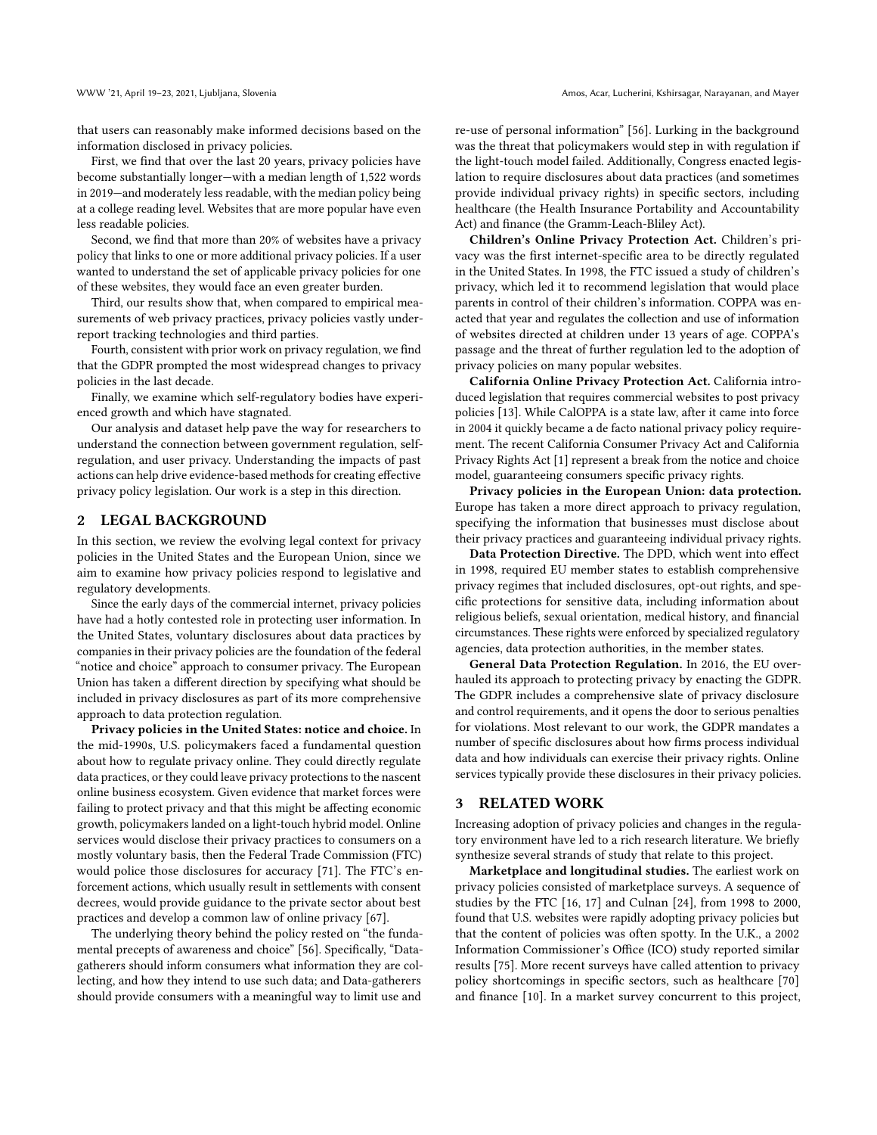that users can reasonably make informed decisions based on the information disclosed in privacy policies.

First, we find that over the last 20 years, privacy policies have become substantially longer—with a median length of 1,522 words in 2019—and moderately less readable, with the median policy being at a college reading level. Websites that are more popular have even less readable policies.

Second, we find that more than 20% of websites have a privacy policy that links to one or more additional privacy policies. If a user wanted to understand the set of applicable privacy policies for one of these websites, they would face an even greater burden.

Third, our results show that, when compared to empirical measurements of web privacy practices, privacy policies vastly underreport tracking technologies and third parties.

Fourth, consistent with prior work on privacy regulation, we find that the GDPR prompted the most widespread changes to privacy policies in the last decade.

Finally, we examine which self-regulatory bodies have experienced growth and which have stagnated.

Our analysis and dataset help pave the way for researchers to understand the connection between government regulation, selfregulation, and user privacy. Understanding the impacts of past actions can help drive evidence-based methods for creating effective privacy policy legislation. Our work is a step in this direction.

#### 2 LEGAL BACKGROUND

In this section, we review the evolving legal context for privacy policies in the United States and the European Union, since we aim to examine how privacy policies respond to legislative and regulatory developments.

Since the early days of the commercial internet, privacy policies have had a hotly contested role in protecting user information. In the United States, voluntary disclosures about data practices by companies in their privacy policies are the foundation of the federal "notice and choice" approach to consumer privacy. The European Union has taken a different direction by specifying what should be included in privacy disclosures as part of its more comprehensive approach to data protection regulation.

Privacy policies in the United States: notice and choice. In the mid-1990s, U.S. policymakers faced a fundamental question about how to regulate privacy online. They could directly regulate data practices, or they could leave privacy protections to the nascent online business ecosystem. Given evidence that market forces were failing to protect privacy and that this might be affecting economic growth, policymakers landed on a light-touch hybrid model. Online services would disclose their privacy practices to consumers on a mostly voluntary basis, then the Federal Trade Commission (FTC) would police those disclosures for accuracy [\[71\]](#page-11-1). The FTC's enforcement actions, which usually result in settlements with consent decrees, would provide guidance to the private sector about best practices and develop a common law of online privacy [\[67\]](#page-11-2).

The underlying theory behind the policy rested on "the fundamental precepts of awareness and choice" [\[56\]](#page-11-3). Specifically, "Datagatherers should inform consumers what information they are collecting, and how they intend to use such data; and Data-gatherers should provide consumers with a meaningful way to limit use and re-use of personal information" [\[56\]](#page-11-3). Lurking in the background was the threat that policymakers would step in with regulation if the light-touch model failed. Additionally, Congress enacted legislation to require disclosures about data practices (and sometimes provide individual privacy rights) in specific sectors, including healthcare (the Health Insurance Portability and Accountability Act) and finance (the Gramm-Leach-Bliley Act).

Children's Online Privacy Protection Act. Children's privacy was the first internet-specific area to be directly regulated in the United States. In 1998, the FTC issued a study of children's privacy, which led it to recommend legislation that would place parents in control of their children's information. COPPA was enacted that year and regulates the collection and use of information of websites directed at children under 13 years of age. COPPA's passage and the threat of further regulation led to the adoption of privacy policies on many popular websites.

California Online Privacy Protection Act. California introduced legislation that requires commercial websites to post privacy policies [\[13\]](#page-10-0). While CalOPPA is a state law, after it came into force in 2004 it quickly became a de facto national privacy policy requirement. The recent California Consumer Privacy Act and California Privacy Rights Act [\[1\]](#page-10-1) represent a break from the notice and choice model, guaranteeing consumers specific privacy rights.

Privacy policies in the European Union: data protection. Europe has taken a more direct approach to privacy regulation, specifying the information that businesses must disclose about their privacy practices and guaranteeing individual privacy rights.

Data Protection Directive. The DPD, which went into effect in 1998, required EU member states to establish comprehensive privacy regimes that included disclosures, opt-out rights, and specific protections for sensitive data, including information about religious beliefs, sexual orientation, medical history, and financial circumstances. These rights were enforced by specialized regulatory agencies, data protection authorities, in the member states.

General Data Protection Regulation. In 2016, the EU overhauled its approach to protecting privacy by enacting the GDPR. The GDPR includes a comprehensive slate of privacy disclosure and control requirements, and it opens the door to serious penalties for violations. Most relevant to our work, the GDPR mandates a number of specific disclosures about how firms process individual data and how individuals can exercise their privacy rights. Online services typically provide these disclosures in their privacy policies.

## <span id="page-1-0"></span>3 RELATED WORK

Increasing adoption of privacy policies and changes in the regulatory environment have led to a rich research literature. We briefly synthesize several strands of study that relate to this project.

Marketplace and longitudinal studies. The earliest work on privacy policies consisted of marketplace surveys. A sequence of studies by the FTC [\[16,](#page-10-2) [17\]](#page-10-3) and Culnan [\[24\]](#page-10-4), from 1998 to 2000, found that U.S. websites were rapidly adopting privacy policies but that the content of policies was often spotty. In the U.K., a 2002 Information Commissioner's Office (ICO) study reported similar results [\[75\]](#page-11-4). More recent surveys have called attention to privacy policy shortcomings in specific sectors, such as healthcare [\[70\]](#page-11-5) and finance [\[10\]](#page-10-5). In a market survey concurrent to this project,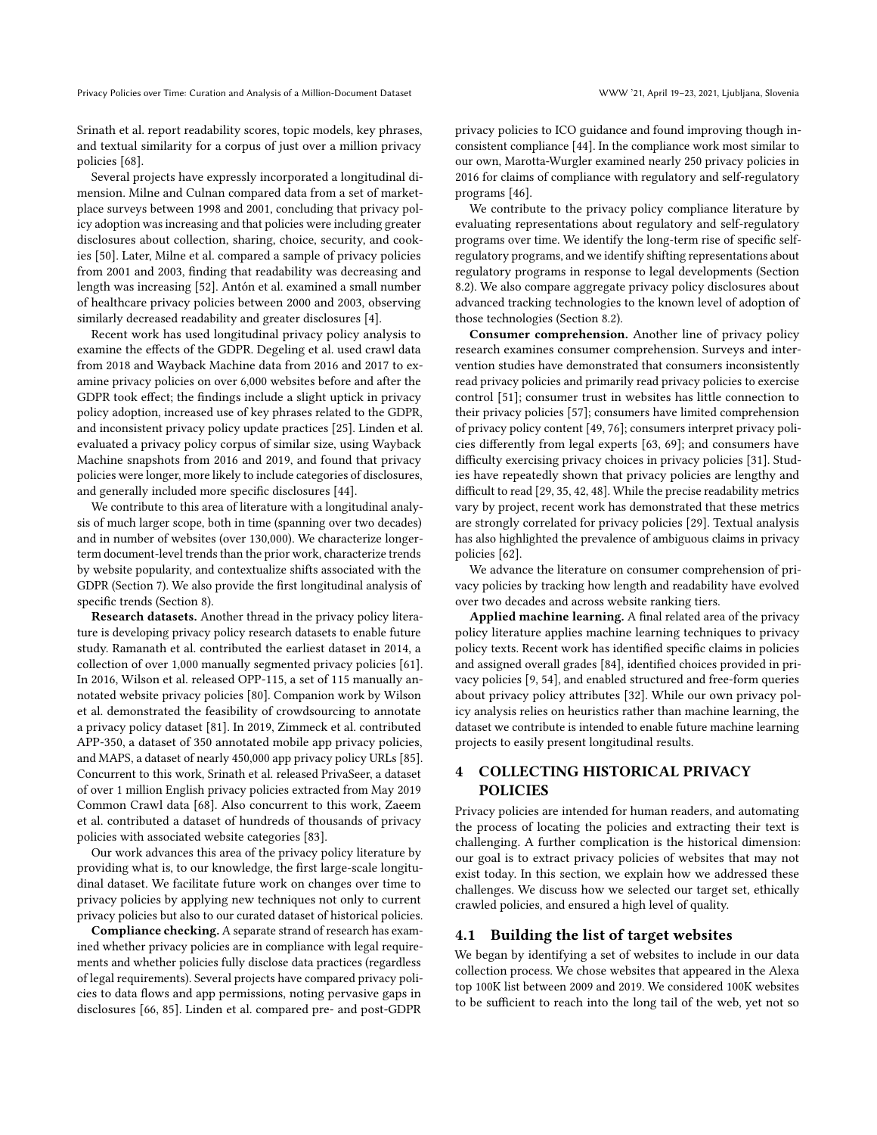Srinath et al. report readability scores, topic models, key phrases, and textual similarity for a corpus of just over a million privacy policies [\[68\]](#page-11-6).

Several projects have expressly incorporated a longitudinal dimension. Milne and Culnan compared data from a set of marketplace surveys between 1998 and 2001, concluding that privacy policy adoption was increasing and that policies were including greater disclosures about collection, sharing, choice, security, and cookies [\[50\]](#page-11-7). Later, Milne et al. compared a sample of privacy policies from 2001 and 2003, finding that readability was decreasing and length was increasing [\[52\]](#page-11-8). Antón et al. examined a small number of healthcare privacy policies between 2000 and 2003, observing similarly decreased readability and greater disclosures [\[4\]](#page-10-6).

Recent work has used longitudinal privacy policy analysis to examine the effects of the GDPR. Degeling et al. used crawl data from 2018 and Wayback Machine data from 2016 and 2017 to examine privacy policies on over 6,000 websites before and after the GDPR took effect; the findings include a slight uptick in privacy policy adoption, increased use of key phrases related to the GDPR, and inconsistent privacy policy update practices [\[25\]](#page-10-7). Linden et al. evaluated a privacy policy corpus of similar size, using Wayback Machine snapshots from 2016 and 2019, and found that privacy policies were longer, more likely to include categories of disclosures, and generally included more specific disclosures [\[44\]](#page-11-9).

We contribute to this area of literature with a longitudinal analysis of much larger scope, both in time (spanning over two decades) and in number of websites (over 130,000). We characterize longerterm document-level trends than the prior work, characterize trends by website popularity, and contextualize shifts associated with the GDPR (Section [7\)](#page-6-0). We also provide the first longitudinal analysis of specific trends (Section [8\)](#page-7-0).

Research datasets. Another thread in the privacy policy literature is developing privacy policy research datasets to enable future study. Ramanath et al. contributed the earliest dataset in 2014, a collection of over 1,000 manually segmented privacy policies [\[61\]](#page-11-10). In 2016, Wilson et al. released OPP-115, a set of 115 manually annotated website privacy policies [\[80\]](#page-11-11). Companion work by Wilson et al. demonstrated the feasibility of crowdsourcing to annotate a privacy policy dataset [\[81\]](#page-11-12). In 2019, Zimmeck et al. contributed APP-350, a dataset of 350 annotated mobile app privacy policies, and MAPS, a dataset of nearly 450,000 app privacy policy URLs [\[85\]](#page-11-13). Concurrent to this work, Srinath et al. released PrivaSeer, a dataset of over 1 million English privacy policies extracted from May 2019 Common Crawl data [\[68\]](#page-11-6). Also concurrent to this work, Zaeem et al. contributed a dataset of hundreds of thousands of privacy policies with associated website categories [\[83\]](#page-11-14).

Our work advances this area of the privacy policy literature by providing what is, to our knowledge, the first large-scale longitudinal dataset. We facilitate future work on changes over time to privacy policies by applying new techniques not only to current privacy policies but also to our curated dataset of historical policies.

Compliance checking. A separate strand of research has examined whether privacy policies are in compliance with legal requirements and whether policies fully disclose data practices (regardless of legal requirements). Several projects have compared privacy policies to data flows and app permissions, noting pervasive gaps in disclosures [\[66,](#page-11-15) [85\]](#page-11-13). Linden et al. compared pre- and post-GDPR

privacy policies to ICO guidance and found improving though inconsistent compliance [\[44\]](#page-11-9). In the compliance work most similar to our own, Marotta-Wurgler examined nearly 250 privacy policies in 2016 for claims of compliance with regulatory and self-regulatory programs [\[46\]](#page-11-16).

We contribute to the privacy policy compliance literature by evaluating representations about regulatory and self-regulatory programs over time. We identify the long-term rise of specific selfregulatory programs, and we identify shifting representations about regulatory programs in response to legal developments (Section [8.2\)](#page-8-0). We also compare aggregate privacy policy disclosures about advanced tracking technologies to the known level of adoption of those technologies (Section [8.2\)](#page-8-0).

Consumer comprehension. Another line of privacy policy research examines consumer comprehension. Surveys and intervention studies have demonstrated that consumers inconsistently read privacy policies and primarily read privacy policies to exercise control [\[51\]](#page-11-17); consumer trust in websites has little connection to their privacy policies [\[57\]](#page-11-18); consumers have limited comprehension of privacy policy content [\[49,](#page-11-19) [76\]](#page-11-20); consumers interpret privacy policies differently from legal experts [\[63,](#page-11-21) [69\]](#page-11-22); and consumers have difficulty exercising privacy choices in privacy policies [\[31\]](#page-10-8). Studies have repeatedly shown that privacy policies are lengthy and difficult to read [\[29,](#page-10-9) [35,](#page-10-10) [42,](#page-11-23) [48\]](#page-11-24). While the precise readability metrics vary by project, recent work has demonstrated that these metrics are strongly correlated for privacy policies [\[29\]](#page-10-9). Textual analysis has also highlighted the prevalence of ambiguous claims in privacy policies [\[62\]](#page-11-25).

We advance the literature on consumer comprehension of privacy policies by tracking how length and readability have evolved over two decades and across website ranking tiers.

Applied machine learning. A final related area of the privacy policy literature applies machine learning techniques to privacy policy texts. Recent work has identified specific claims in policies and assigned overall grades [\[84\]](#page-11-26), identified choices provided in privacy policies [\[9,](#page-10-11) [54\]](#page-11-27), and enabled structured and free-form queries about privacy policy attributes [\[32\]](#page-10-12). While our own privacy policy analysis relies on heuristics rather than machine learning, the dataset we contribute is intended to enable future machine learning projects to easily present longitudinal results.

## <span id="page-2-0"></span>4 COLLECTING HISTORICAL PRIVACY POLICIES

Privacy policies are intended for human readers, and automating the process of locating the policies and extracting their text is challenging. A further complication is the historical dimension: our goal is to extract privacy policies of websites that may not exist today. In this section, we explain how we addressed these challenges. We discuss how we selected our target set, ethically crawled policies, and ensured a high level of quality.

## 4.1 Building the list of target websites

We began by identifying a set of websites to include in our data collection process. We chose websites that appeared in the Alexa top 100K list between 2009 and 2019. We considered 100K websites to be sufficient to reach into the long tail of the web, yet not so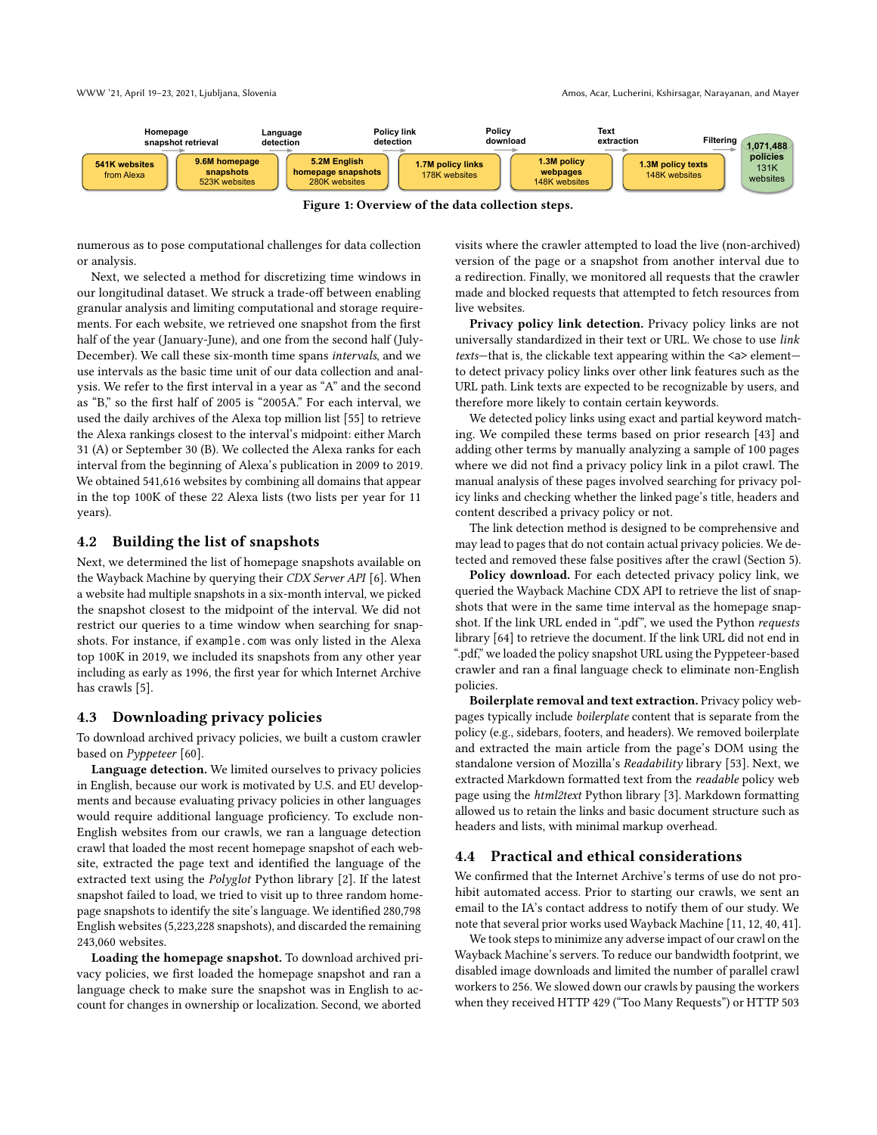

Figure 1: Overview of the data collection steps.

numerous as to pose computational challenges for data collection or analysis.

Next, we selected a method for discretizing time windows in our longitudinal dataset. We struck a trade-off between enabling granular analysis and limiting computational and storage requirements. For each website, we retrieved one snapshot from the first half of the year (January-June), and one from the second half (July-December). We call these six-month time spans intervals, and we use intervals as the basic time unit of our data collection and analysis. We refer to the first interval in a year as "A" and the second as "B," so the first half of 2005 is "2005A." For each interval, we used the daily archives of the Alexa top million list [\[55\]](#page-11-28) to retrieve the Alexa rankings closest to the interval's midpoint: either March 31 (A) or September 30 (B). We collected the Alexa ranks for each interval from the beginning of Alexa's publication in 2009 to 2019. We obtained 541,616 websites by combining all domains that appear in the top 100K of these 22 Alexa lists (two lists per year for 11 years).

## 4.2 Building the list of snapshots

Next, we determined the list of homepage snapshots available on the Wayback Machine by querying their CDX Server API [\[6\]](#page-10-13). When a website had multiple snapshots in a six-month interval, we picked the snapshot closest to the midpoint of the interval. We did not restrict our queries to a time window when searching for snapshots. For instance, if example.com was only listed in the Alexa top 100K in 2019, we included its snapshots from any other year including as early as 1996, the first year for which Internet Archive has crawls [\[5\]](#page-10-14).

#### <span id="page-3-0"></span>4.3 Downloading privacy policies

To download archived privacy policies, we built a custom crawler based on Pyppeteer [\[60\]](#page-11-29).

Language detection. We limited ourselves to privacy policies in English, because our work is motivated by U.S. and EU developments and because evaluating privacy policies in other languages would require additional language proficiency. To exclude non-English websites from our crawls, we ran a language detection crawl that loaded the most recent homepage snapshot of each website, extracted the page text and identified the language of the extracted text using the Polyglot Python library [\[2\]](#page-10-15). If the latest snapshot failed to load, we tried to visit up to three random homepage snapshots to identify the site's language. We identified 280,798 English websites (5,223,228 snapshots), and discarded the remaining 243,060 websites.

Loading the homepage snapshot. To download archived privacy policies, we first loaded the homepage snapshot and ran a language check to make sure the snapshot was in English to account for changes in ownership or localization. Second, we aborted

visits where the crawler attempted to load the live (non-archived) version of the page or a snapshot from another interval due to a redirection. Finally, we monitored all requests that the crawler made and blocked requests that attempted to fetch resources from live websites.

Privacy policy link detection. Privacy policy links are not universally standardized in their text or URL. We chose to use link texts—that is, the clickable text appearing within the <a> element to detect privacy policy links over other link features such as the URL path. Link texts are expected to be recognizable by users, and therefore more likely to contain certain keywords.

We detected policy links using exact and partial keyword matching. We compiled these terms based on prior research [\[43\]](#page-11-30) and adding other terms by manually analyzing a sample of 100 pages where we did not find a privacy policy link in a pilot crawl. The manual analysis of these pages involved searching for privacy policy links and checking whether the linked page's title, headers and content described a privacy policy or not.

The link detection method is designed to be comprehensive and may lead to pages that do not contain actual privacy policies. We detected and removed these false positives after the crawl (Section [5\)](#page-4-0).

Policy download. For each detected privacy policy link, we queried the Wayback Machine CDX API to retrieve the list of snapshots that were in the same time interval as the homepage snapshot. If the link URL ended in ".pdf", we used the Python requests library [\[64\]](#page-11-31) to retrieve the document. If the link URL did not end in ".pdf," we loaded the policy snapshot URL using the Pyppeteer-based crawler and ran a final language check to eliminate non-English policies.

Boilerplate removal and text extraction. Privacy policy webpages typically include boilerplate content that is separate from the policy (e.g., sidebars, footers, and headers). We removed boilerplate and extracted the main article from the page's DOM using the standalone version of Mozilla's Readability library [\[53\]](#page-11-32). Next, we extracted Markdown formatted text from the readable policy web page using the html2text Python library [\[3\]](#page-10-16). Markdown formatting allowed us to retain the links and basic document structure such as headers and lists, with minimal markup overhead.

#### 4.4 Practical and ethical considerations

We confirmed that the Internet Archive's terms of use do not prohibit automated access. Prior to starting our crawls, we sent an email to the IA's contact address to notify them of our study. We note that several prior works used Wayback Machine [\[11,](#page-10-17) [12,](#page-10-18) [40,](#page-11-33) [41\]](#page-11-34).

We took steps to minimize any adverse impact of our crawl on the Wayback Machine's servers. To reduce our bandwidth footprint, we disabled image downloads and limited the number of parallel crawl workers to 256. We slowed down our crawls by pausing the workers when they received HTTP 429 ("Too Many Requests") or HTTP 503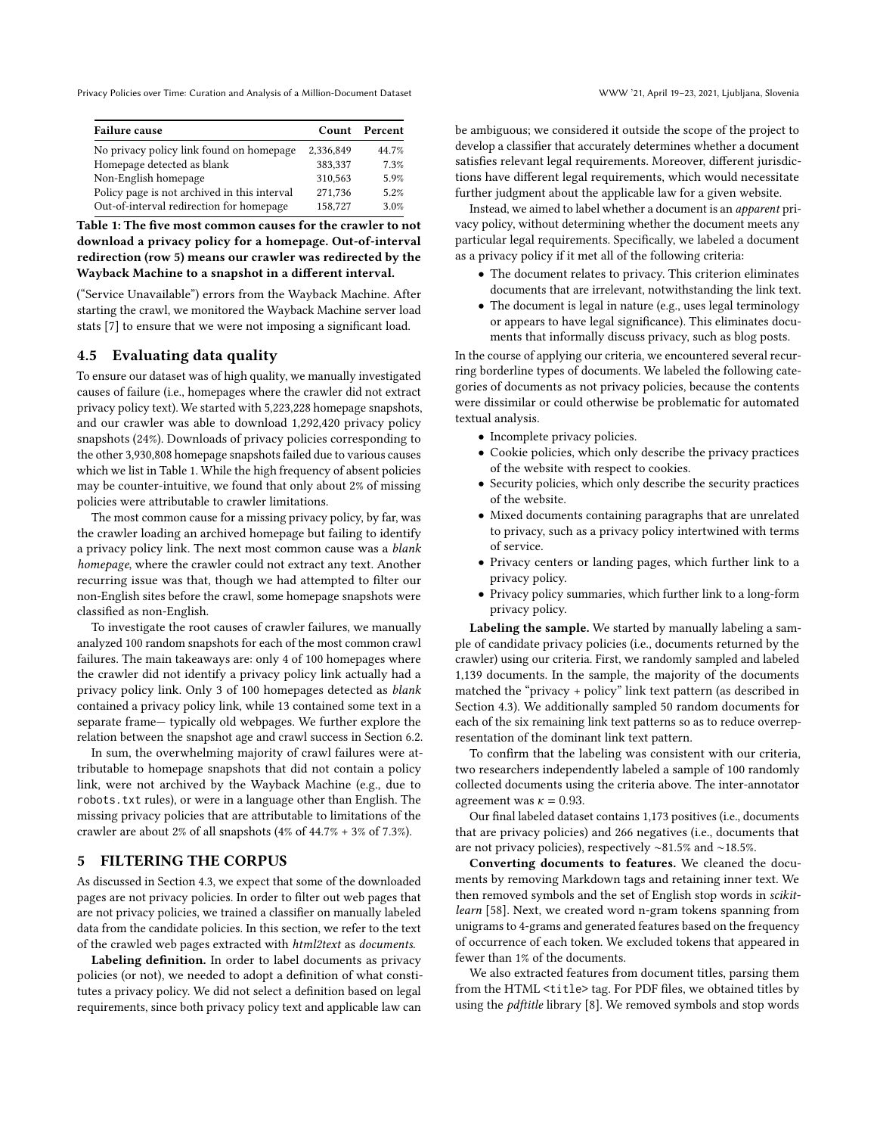<span id="page-4-1"></span>

| <b>Failure cause</b>                         | Count     | Percent |
|----------------------------------------------|-----------|---------|
| No privacy policy link found on homepage     | 2,336,849 | 44.7%   |
| Homepage detected as blank                   | 383,337   | 7.3%    |
| Non-English homepage                         | 310,563   | 5.9%    |
| Policy page is not archived in this interval | 271,736   | 5.2%    |
| Out-of-interval redirection for homepage     | 158,727   | 3.0%    |

Table 1: The five most common causes for the crawler to not download a privacy policy for a homepage. Out-of-interval redirection (row 5) means our crawler was redirected by the Wayback Machine to a snapshot in a different interval.

("Service Unavailable") errors from the Wayback Machine. After starting the crawl, we monitored the Wayback Machine server load stats [\[7\]](#page-10-19) to ensure that we were not imposing a significant load.

## <span id="page-4-2"></span>4.5 Evaluating data quality

To ensure our dataset was of high quality, we manually investigated causes of failure (i.e., homepages where the crawler did not extract privacy policy text). We started with 5,223,228 homepage snapshots, and our crawler was able to download 1,292,420 privacy policy snapshots (24%). Downloads of privacy policies corresponding to the other 3,930,808 homepage snapshots failed due to various causes which we list in Table [1.](#page-4-1) While the high frequency of absent policies may be counter-intuitive, we found that only about 2% of missing policies were attributable to crawler limitations.

The most common cause for a missing privacy policy, by far, was the crawler loading an archived homepage but failing to identify a privacy policy link. The next most common cause was a blank homepage, where the crawler could not extract any text. Another recurring issue was that, though we had attempted to filter our non-English sites before the crawl, some homepage snapshots were classified as non-English.

To investigate the root causes of crawler failures, we manually analyzed 100 random snapshots for each of the most common crawl failures. The main takeaways are: only 4 of 100 homepages where the crawler did not identify a privacy policy link actually had a privacy policy link. Only 3 of 100 homepages detected as blank contained a privacy policy link, while 13 contained some text in a separate frame— typically old webpages. We further explore the relation between the snapshot age and crawl success in Section [6.2.](#page-5-1)

In sum, the overwhelming majority of crawl failures were attributable to homepage snapshots that did not contain a policy link, were not archived by the Wayback Machine (e.g., due to robots.txt rules), or were in a language other than English. The missing privacy policies that are attributable to limitations of the crawler are about 2% of all snapshots (4% of 44.7% + 3% of 7.3%).

## <span id="page-4-0"></span>5 FILTERING THE CORPUS

As discussed in Section [4.3,](#page-3-0) we expect that some of the downloaded pages are not privacy policies. In order to filter out web pages that are not privacy policies, we trained a classifier on manually labeled data from the candidate policies. In this section, we refer to the text of the crawled web pages extracted with html2text as documents.

Labeling definition. In order to label documents as privacy policies (or not), we needed to adopt a definition of what constitutes a privacy policy. We did not select a definition based on legal requirements, since both privacy policy text and applicable law can

be ambiguous; we considered it outside the scope of the project to develop a classifier that accurately determines whether a document satisfies relevant legal requirements. Moreover, different jurisdictions have different legal requirements, which would necessitate further judgment about the applicable law for a given website.

Instead, we aimed to label whether a document is an apparent privacy policy, without determining whether the document meets any particular legal requirements. Specifically, we labeled a document as a privacy policy if it met all of the following criteria:

- The document relates to privacy. This criterion eliminates documents that are irrelevant, notwithstanding the link text.
- The document is legal in nature (e.g., uses legal terminology or appears to have legal significance). This eliminates documents that informally discuss privacy, such as blog posts.

In the course of applying our criteria, we encountered several recurring borderline types of documents. We labeled the following categories of documents as not privacy policies, because the contents were dissimilar or could otherwise be problematic for automated textual analysis.

- Incomplete privacy policies.
- Cookie policies, which only describe the privacy practices of the website with respect to cookies.
- Security policies, which only describe the security practices of the website.
- Mixed documents containing paragraphs that are unrelated to privacy, such as a privacy policy intertwined with terms of service.
- Privacy centers or landing pages, which further link to a privacy policy.
- Privacy policy summaries, which further link to a long-form privacy policy.

Labeling the sample. We started by manually labeling a sample of candidate privacy policies (i.e., documents returned by the crawler) using our criteria. First, we randomly sampled and labeled 1,139 documents. In the sample, the majority of the documents matched the "privacy + policy" link text pattern (as described in Section [4.3\)](#page-3-0). We additionally sampled 50 random documents for each of the six remaining link text patterns so as to reduce overrepresentation of the dominant link text pattern.

To confirm that the labeling was consistent with our criteria, two researchers independently labeled a sample of 100 randomly collected documents using the criteria above. The inter-annotator agreement was  $\kappa = 0.93$ .

Our final labeled dataset contains 1,173 positives (i.e., documents that are privacy policies) and 266 negatives (i.e., documents that are not privacy policies), respectively ∼81.5% and ∼18.5%.

Converting documents to features. We cleaned the documents by removing Markdown tags and retaining inner text. We then removed symbols and the set of English stop words in scikitlearn [\[58\]](#page-11-35). Next, we created word n-gram tokens spanning from unigrams to 4-grams and generated features based on the frequency of occurrence of each token. We excluded tokens that appeared in fewer than 1% of the documents.

We also extracted features from document titles, parsing them from the HTML <title> tag. For PDF files, we obtained titles by using the *pdftitle* library [\[8\]](#page-10-20). We removed symbols and stop words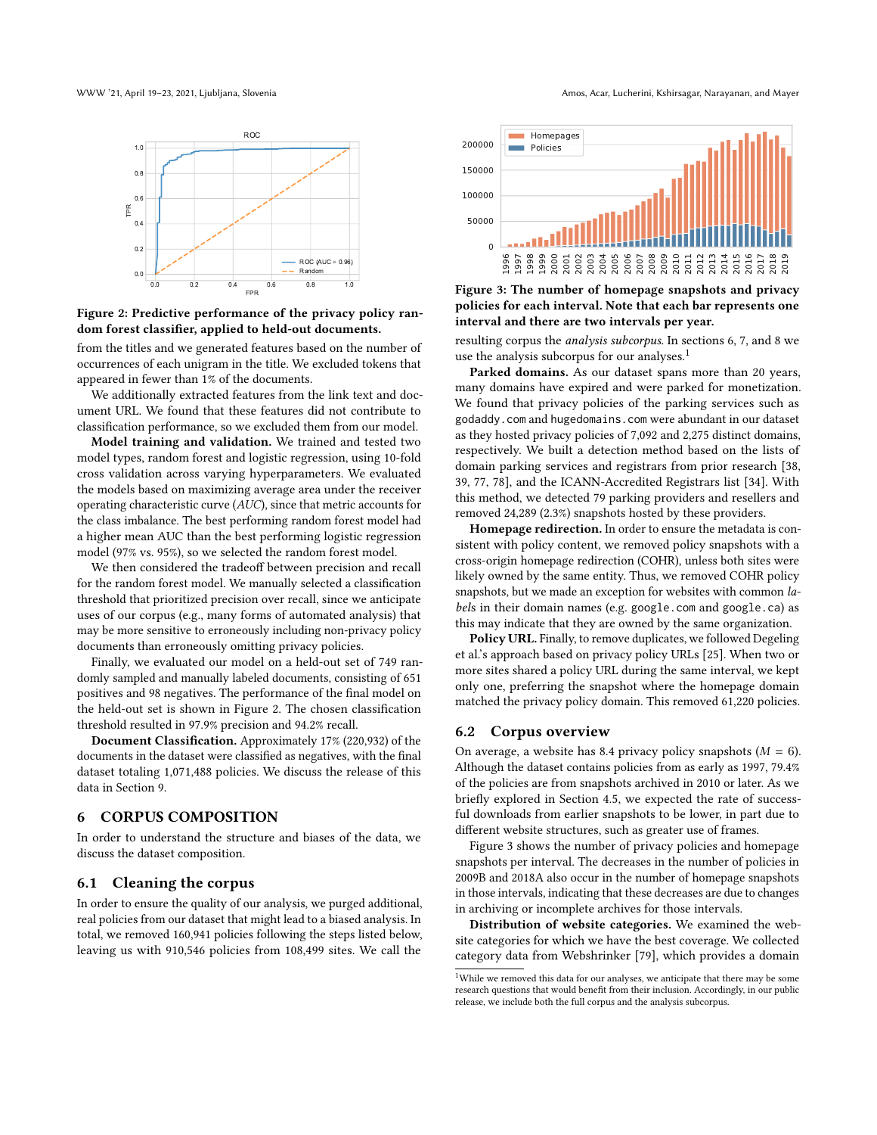

Figure 2: Predictive performance of the privacy policy random forest classifier, applied to held-out documents.

from the titles and we generated features based on the number of occurrences of each unigram in the title. We excluded tokens that appeared in fewer than 1% of the documents.

We additionally extracted features from the link text and document URL. We found that these features did not contribute to classification performance, so we excluded them from our model.

Model training and validation. We trained and tested two model types, random forest and logistic regression, using 10-fold cross validation across varying hyperparameters. We evaluated the models based on maximizing average area under the receiver operating characteristic curve (AUC), since that metric accounts for the class imbalance. The best performing random forest model had a higher mean AUC than the best performing logistic regression model (97% vs. 95%), so we selected the random forest model. leaving us with 910,546 policies from 108,499 sites. We call the 1996 1997 1998 1999 2000 2001 2002 2003 2004 2005 2006 2007 2008 2009 2010

We then considered the tradeoff between precision and recall for the random forest model. We manually selected a classification threshold that prioritized precision over recall, since we anticipate uses of our corpus (e.g., many forms of automated analysis) that may be more sensitive to erroneously including non-privacy policy documents than erroneously omitting privacy policies.

Finally, we evaluated our model on a held-out set of 749 randomly sampled and manually labeled documents, consisting of 651 positives and 98 negatives. The performance of the final model on the held-out set is shown in Figure [2.](#page-5-2) The chosen classification threshold resulted in 97.9% precision and 94.2% recall.

Document Classification. Approximately 17% (220,932) of the documents in the dataset were classified as negatives, with the final dataset totaling 1,071,488 policies. We discuss the release of this data in Section [9.](#page-9-0)

#### <span id="page-5-0"></span>6 CORPUS COMPOSITION

In order to understand the structure and biases of the data, we discuss the dataset composition.

### 6.1 Cleaning the corpus

In order to ensure the quality of our analysis, we purged additional, real policies from our dataset that might lead to a biased analysis. In total, we removed 160,941 policies following the steps listed below,

<span id="page-5-2"></span>WWW '21, April 19-23, 2021, Ljubljana, Slovenia Amos, Acar, Lucherini, Kshirsagar, Narayanan, and Mayer

<span id="page-5-4"></span>



resulting corpus the analysis subcorpus. In sections [6,](#page-5-0) [7,](#page-6-0) and [8](#page-7-0) we use the analysis subcorpus for our analyses.<sup>[1](#page-5-3)</sup>

Parked domains. As our dataset spans more than 20 years, many domains have expired and were parked for monetization. We found that privacy policies of the parking services such as godaddy.com and hugedomains.com were abundant in our dataset as they hosted privacy policies of 7,092 and 2,275 distinct domains, respectively. We built a detection method based on the lists of domain parking services and registrars from prior research [\[38,](#page-11-36) [39,](#page-11-37) [77,](#page-11-38) [78\]](#page-11-39), and the ICANN-Accredited Registrars list [\[34\]](#page-10-21). With this method, we detected 79 parking providers and resellers and removed 24,289 (2.3%) snapshots hosted by these providers.

Homepage redirection. In order to ensure the metadata is consistent with policy content, we removed policy snapshots with a cross-origin homepage redirection (COHR), unless both sites were likely owned by the same entity. Thus, we removed COHR policy snapshots, but we made an exception for websites with common labels in their domain names (e.g. google.com and google.ca) as this may indicate that they are owned by the same organization.

Policy URL. Finally, to remove duplicates, we followed Degeling et al.'s approach based on privacy policy URLs [\[25\]](#page-10-7). When two or more sites shared a policy URL during the same interval, we kept only one, preferring the snapshot where the homepage domain matched the privacy policy domain. This removed 61,220 policies.

#### <span id="page-5-1"></span>6.2 Corpus overview

On average, a website has 8.4 privacy policy snapshots  $(M = 6)$ . Although the dataset contains policies from as early as 1997, 79.4% of the policies are from snapshots archived in 2010 or later. As we briefly explored in Section [4.5,](#page-4-2) we expected the rate of successful downloads from earlier snapshots to be lower, in part due to different website structures, such as greater use of frames.

Figure [3](#page-5-4) shows the number of privacy policies and homepage snapshots per interval. The decreases in the number of policies in 2009B and 2018A also occur in the number of homepage snapshots in those intervals, indicating that these decreases are due to changes in archiving or incomplete archives for those intervals.

Distribution of website categories. We examined the website categories for which we have the best coverage. We collected category data from Webshrinker [\[79\]](#page-11-40), which provides a domain

<span id="page-5-3"></span> $^{1}$  While we removed this data for our analyses, we anticipate that there may be some research questions that would benefit from their inclusion. Accordingly, in our public release, we include both the full corpus and the analysis subcorpus.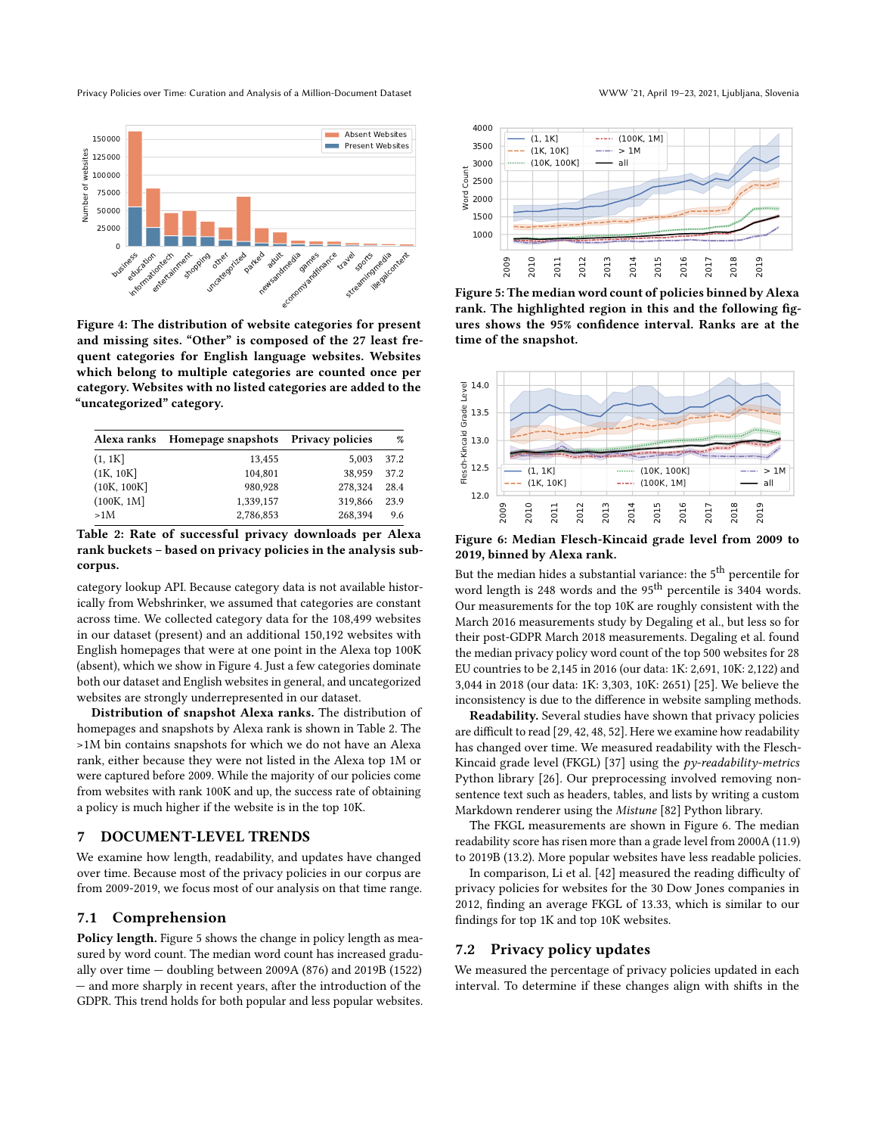<span id="page-6-1"></span>

Figure 4: The distribution of website categories for present and missing sites. "Other" is composed of the 27 least frequent categories for English language websites. Websites which belong to multiple categories are counted once per category. Websites with no listed categories are added to the "uncategorized" category.

<span id="page-6-2"></span>

| Alexa ranks | Homepage snapshots Privacy policies |         | %    |
|-------------|-------------------------------------|---------|------|
| (1, 1K]     | 13,455                              | 5.003   | 37.2 |
| (1K, 10K]   | 104,801                             | 38.959  | 37.2 |
| (10K, 100K) | 980.928                             | 278.324 | 28.4 |
| (100K, 1M]  | 1,339,157                           | 319,866 | 23.9 |
| >1M         | 2,786,853                           | 268.394 | 9.6  |

Table 2: Rate of successful privacy downloads per Alexa rank buckets – based on privacy policies in the analysis subcorpus.

category lookup API. Because category data is not available historically from Webshrinker, we assumed that categories are constant across time. We collected category data for the 108,499 websites in our dataset (present) and an additional 150,192 websites with English homepages that were at one point in the Alexa top 100K (absent), which we show in Figure [4.](#page-6-1) Just a few categories dominate both our dataset and English websites in general, and uncategorized websites are strongly underrepresented in our dataset. Equive of Figure 11.1 The Real of Price (Section 12.2) and the section of the section of the section of the section of the section of the section of the section of the section of the section of the section of the section

Distribution of snapshot Alexa ranks. The distribution of homepages and snapshots by Alexa rank is shown in Table [2.](#page-6-2) The >1M bin contains snapshots for which we do not have an Alexa rank, either because they were not listed in the Alexa top 1M or were captured before 2009. While the majority of our policies come from websites with rank 100K and up, the success rate of obtaining a policy is much higher if the website is in the top 10K.

## <span id="page-6-0"></span>7 DOCUMENT-LEVEL TRENDS

We examine how length, readability, and updates have changed over time. Because most of the privacy policies in our corpus are from 2009-2019, we focus most of our analysis on that time range.

#### 7.1 Comprehension

Policy length. Figure [5](#page-6-3) shows the change in policy length as measured by word count. The median word count has increased gradually over time — doubling between 2009A (876) and 2019B (1522) — and more sharply in recent years, after the introduction of the

<span id="page-6-3"></span>

Figure 5: The median word count of policies binned by Alexa rank. The highlighted region in this and the following figures shows the 95% confidence interval. Ranks are at the time of the snapshot.

<span id="page-6-4"></span>

Figure 6: Median Flesch-Kincaid grade level from 2009 to 2019, binned by Alexa rank.

But the median hides a substantial variance: the 5<sup>th</sup> percentile for word length is 248 words and the 95<sup>th</sup> percentile is 3404 words. Our measurements for the top 10K are roughly consistent with the March 2016 measurements study by Degaling et al., but less so for their post-GDPR March 2018 measurements. Degaling et al. found the median privacy policy word count of the top 500 websites for 28 EU countries to be 2,145 in 2016 (our data: 1K: 2,691, 10K: 2,122) and 3,044 in 2018 (our data: 1K: 3,303, 10K: 2651) [\[25\]](#page-10-7). We believe the inconsistency is due to the difference in website sampling methods.

Readability. Several studies have shown that privacy policies are difficult to read [\[29,](#page-10-9) [42,](#page-11-23) [48,](#page-11-24) [52\]](#page-11-8). Here we examine how readability has changed over time. We measured readability with the Flesch-Kincaid grade level (FKGL) [\[37\]](#page-11-41) using the py-readability-metrics Python library [\[26\]](#page-10-22). Our preprocessing involved removing nonsentence text such as headers, tables, and lists by writing a custom Markdown renderer using the Mistune [\[82\]](#page-11-42) Python library.

The FKGL measurements are shown in Figure [6.](#page-6-4) The median readability score has risen more than a grade level from 2000A (11.9) to 2019B (13.2). More popular websites have less readable policies.

In comparison, Li et al. [\[42\]](#page-11-23) measured the reading difficulty of privacy policies for websites for the 30 Dow Jones companies in 2012, finding an average FKGL of 13.33, which is similar to our findings for top 1K and top 10K websites.

#### 7.2 Privacy policy updates

We measured the percentage of privacy policies updated in each interval. To determine if these changes align with shifts in the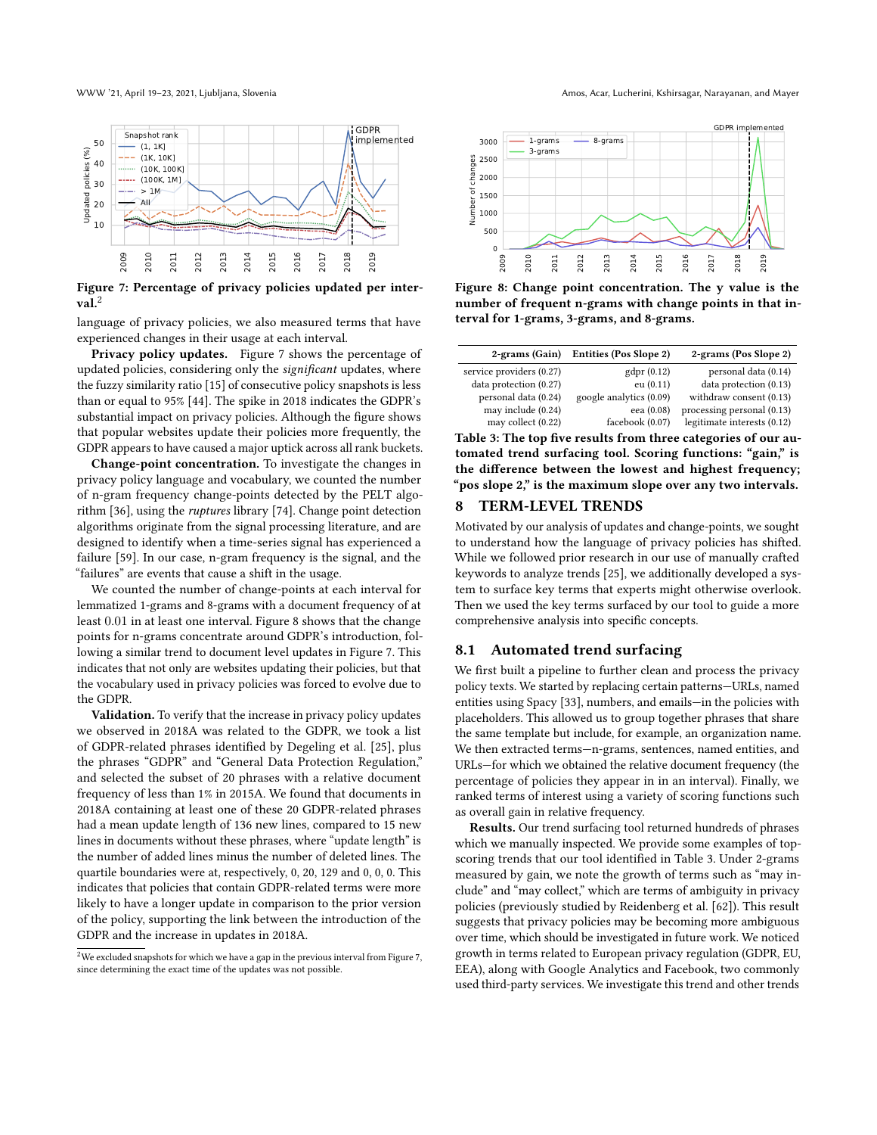<span id="page-7-2"></span>

Figure 7: Percentage of privacy policies updated per inter- $\mathbf{val}$ .<sup>[2](#page-7-1)</sup>

language of privacy policies, we also measured terms that have experienced changes in their usage at each interval.

Privacy policy updates. Figure [7](#page-7-2) shows the percentage of updated policies, considering only the significant updates, where the fuzzy similarity ratio [\[15\]](#page-10-23) of consecutive policy snapshots is less than or equal to 95% [\[44\]](#page-11-9). The spike in 2018 indicates the GDPR's substantial impact on privacy policies. Although the figure shows that popular websites update their policies more frequently, the GDPR appears to have caused a major uptick across all rank buckets.

Change-point concentration. To investigate the changes in privacy policy language and vocabulary, we counted the number of n-gram frequency change-points detected by the PELT algorithm [\[36\]](#page-11-43), using the ruptures library [\[74\]](#page-11-44). Change point detection algorithms originate from the signal processing literature, and are designed to identify when a time-series signal has experienced a failure [\[59\]](#page-11-45). In our case, n-gram frequency is the signal, and the "failures" are events that cause a shift in the usage.

We counted the number of change-points at each interval for lemmatized 1-grams and 8-grams with a document frequency of at least 0.01 in at least one interval. Figure [8](#page-7-3) shows that the change points for n-grams concentrate around GDPR's introduction, following a similar trend to document level updates in Figure [7.](#page-7-2) This indicates that not only are websites updating their policies, but that the vocabulary used in privacy policies was forced to evolve due to the GDPR.

Validation. To verify that the increase in privacy policy updates we observed in 2018A was related to the GDPR, we took a list of GDPR-related phrases identified by Degeling et al. [\[25\]](#page-10-7), plus the phrases "GDPR" and "General Data Protection Regulation," and selected the subset of 20 phrases with a relative document frequency of less than 1% in 2015A. We found that documents in 2018A containing at least one of these 20 GDPR-related phrases had a mean update length of 136 new lines, compared to 15 new lines in documents without these phrases, where "update length" is the number of added lines minus the number of deleted lines. The quartile boundaries were at, respectively, 0, 20, 129 and 0, 0, 0. This indicates that policies that contain GDPR-related terms were more likely to have a longer update in comparison to the prior version of the policy, supporting the link between the introduction of the GDPR and the increase in updates in 2018A. Fractross of the signal particle splits of the signal particle splits of the signal particle splits of the updates and the update of the updates and the updates was not possible and the update of the updates was not possi

WWW '21, April 19-23, 2021, Ljubljana, Slovenia Amos, Acar, Amos, Acar, Acar, Lucherini, Kshirsagar, Narayanan, and Mayer

<span id="page-7-3"></span>

Figure 8: Change point concentration. The y value is the number of frequent n-grams with change points in that interval for 1-grams, 3-grams, and 8-grams.

<span id="page-7-4"></span>

| 2-grams (Gain)           | <b>Entities (Pos Slope 2)</b> | 2-grams (Pos Slope 2)       |
|--------------------------|-------------------------------|-----------------------------|
| service providers (0.27) | gdpr(0.12)                    | personal data (0.14)        |
| data protection (0.27)   | eu(0.11)                      | data protection (0.13)      |
| personal data (0.24)     | google analytics (0.09)       | withdraw consent (0.13)     |
| may include (0.24)       | eea (0.08)                    | processing personal (0.13)  |
| may collect (0.22)       | facebook (0.07)               | legitimate interests (0.12) |

Table 3: The top five results from three categories of our automated trend surfacing tool. Scoring functions: "gain," is the difference between the lowest and highest frequency; "pos slope 2," is the maximum slope over any two intervals.

### <span id="page-7-0"></span>8 TERM-LEVEL TRENDS

Motivated by our analysis of updates and change-points, we sought to understand how the language of privacy policies has shifted. While we followed prior research in our use of manually crafted keywords to analyze trends [\[25\]](#page-10-7), we additionally developed a system to surface key terms that experts might otherwise overlook. Then we used the key terms surfaced by our tool to guide a more comprehensive analysis into specific concepts.

#### 8.1 Automated trend surfacing

We first built a pipeline to further clean and process the privacy policy texts. We started by replacing certain patterns—URLs, named entities using Spacy [\[33\]](#page-10-24), numbers, and emails—in the policies with placeholders. This allowed us to group together phrases that share the same template but include, for example, an organization name. We then extracted terms—n-grams, sentences, named entities, and URLs—for which we obtained the relative document frequency (the percentage of policies they appear in in an interval). Finally, we ranked terms of interest using a variety of scoring functions such as overall gain in relative frequency.

Results. Our trend surfacing tool returned hundreds of phrases which we manually inspected. We provide some examples of topscoring trends that our tool identified in Table [3.](#page-7-4) Under 2-grams measured by gain, we note the growth of terms such as "may include" and "may collect," which are terms of ambiguity in privacy policies (previously studied by Reidenberg et al. [\[62\]](#page-11-25)). This result suggests that privacy policies may be becoming more ambiguous over time, which should be investigated in future work. We noticed growth in terms related to European privacy regulation (GDPR, EU, EEA), along with Google Analytics and Facebook, two commonly used third-party services. We investigate this trend and other trends

<span id="page-7-1"></span> $^2$  We excluded snapshots for which we have a gap in the previous interval from Figure [7,](#page-7-2) since determining the exact time of the updates was not possible.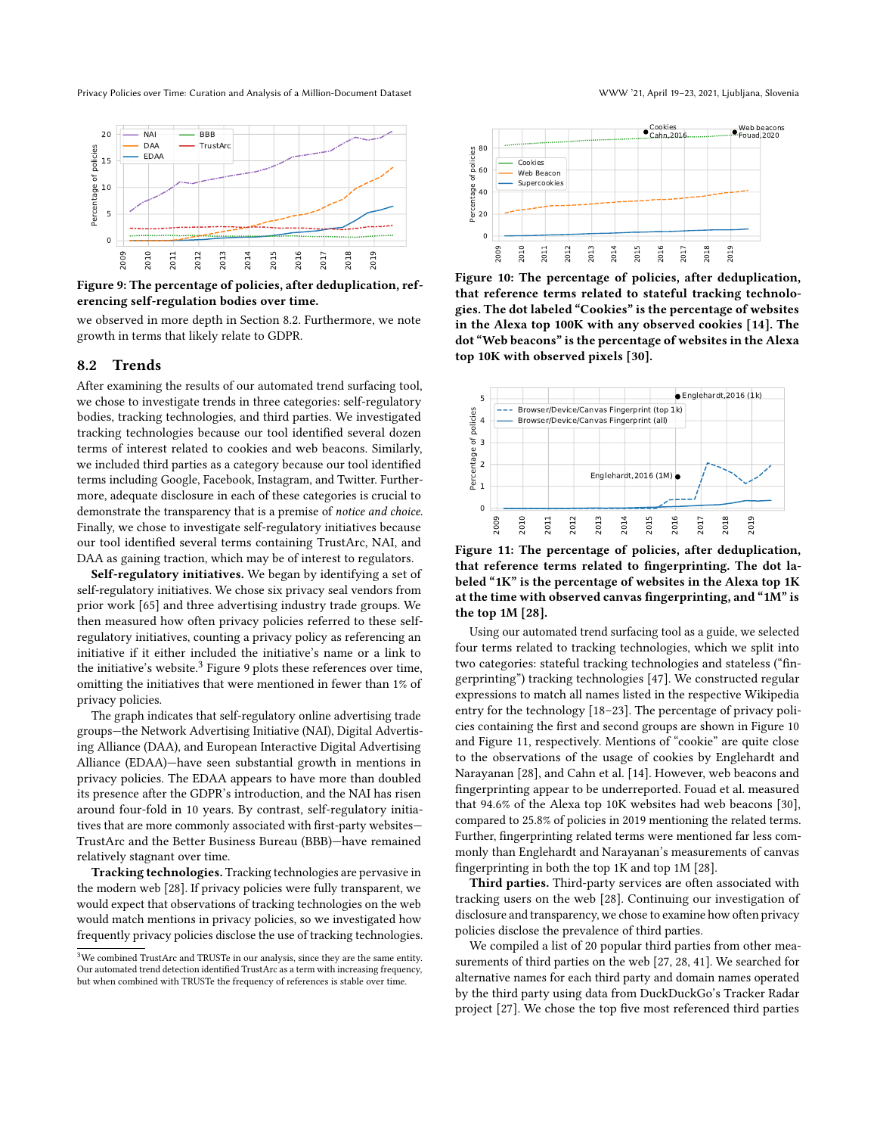<span id="page-8-2"></span>

Figure 9: The percentage of policies, after deduplication, referencing self-regulation bodies over time.

we observed in more depth in Section [8.2.](#page-8-0) Furthermore, we note growth in terms that likely relate to GDPR.

#### <span id="page-8-0"></span>8.2 Trends

After examining the results of our automated trend surfacing tool, we chose to investigate trends in three categories: self-regulatory bodies, tracking technologies, and third parties. We investigated tracking technologies because our tool identified several dozen terms of interest related to cookies and web beacons. Similarly, we included third parties as a category because our tool identified terms including Google, Facebook, Instagram, and Twitter. Furthermore, adequate disclosure in each of these categories is crucial to demonstrate the transparency that is a premise of notice and choice. Finally, we chose to investigate self-regulatory initiatives because our tool identified several terms containing TrustArc, NAI, and DAA as gaining traction, which may be of interest to regulators.

Self-regulatory initiatives. We began by identifying a set of self-regulatory initiatives. We chose six privacy seal vendors from prior work [\[65\]](#page-11-46) and three advertising industry trade groups. We then measured how often privacy policies referred to these selfregulatory initiatives, counting a privacy policy as referencing an initiative if it either included the initiative's name or a link to the initiative's website.<sup>[3](#page-8-1)</sup> Figure [9](#page-8-2) plots these references over time, omitting the initiatives that were mentioned in fewer than 1% of privacy policies.

The graph indicates that self-regulatory online advertising trade groups—the Network Advertising Initiative (NAI), Digital Advertising Alliance (DAA), and European Interactive Digital Advertising Alliance (EDAA)—have seen substantial growth in mentions in privacy policies. The EDAA appears to have more than doubled its presence after the GDPR's introduction, and the NAI has risen around four-fold in 10 years. By contrast, self-regulatory initiatives that are more commonly associated with first-party websites— TrustArc and the Better Business Bureau (BBB)—have remained relatively stagnant over time.

Tracking technologies. Tracking technologies are pervasive in the modern web [\[28\]](#page-10-25). If privacy policies were fully transparent, we would expect that observations of tracking technologies on the web would match mentions in privacy policies, so we investigated how frequently privacy policies disclose the use of tracking technologies.

<span id="page-8-3"></span>

Figure 10: The percentage of policies, after deduplication, that reference terms related to stateful tracking technologies. The dot labeled "Cookies" is the percentage of websites in the Alexa top 100K with any observed cookies [\[14\]](#page-10-26). The dot "Web beacons" is the percentage of websites in the Alexa top 10K with observed pixels [\[30\]](#page-10-27).

<span id="page-8-4"></span>

Figure 11: The percentage of policies, after deduplication, that reference terms related to fingerprinting. The dot labeled "1K" is the percentage of websites in the Alexa top 1K at the time with observed canvas fingerprinting, and "1M" is the top 1M [\[28\]](#page-10-25).

Using our automated trend surfacing tool as a guide, we selected four terms related to tracking technologies, which we split into two categories: stateful tracking technologies and stateless ("fingerprinting") tracking technologies [\[47\]](#page-11-47). We constructed regular expressions to match all names listed in the respective Wikipedia entry for the technology [\[18–](#page-10-28)[23\]](#page-10-29). The percentage of privacy policies containing the first and second groups are shown in Figure [10](#page-8-3) and Figure [11,](#page-8-4) respectively. Mentions of "cookie" are quite close to the observations of the usage of cookies by Englehardt and Narayanan [\[28\]](#page-10-25), and Cahn et al. [\[14\]](#page-10-26). However, web beacons and fingerprinting appear to be underreported. Fouad et al. measured that 94.6% of the Alexa top 10K websites had web beacons [\[30\]](#page-10-27), compared to 25.8% of policies in 2019 mentioning the related terms. Further, fingerprinting related terms were mentioned far less commonly than Englehardt and Narayanan's measurements of canvas fingerprinting in both the top 1K and top 1M [\[28\]](#page-10-25).

Third parties. Third-party services are often associated with tracking users on the web [\[28\]](#page-10-25). Continuing our investigation of disclosure and transparency, we chose to examine how often privacy policies disclose the prevalence of third parties.

We compiled a list of 20 popular third parties from other measurements of third parties on the web [\[27,](#page-10-30) [28,](#page-10-25) [41\]](#page-11-34). We searched for alternative names for each third party and domain names operated by the third party using data from DuckDuckGo's Tracker Radar project [\[27\]](#page-10-30). We chose the top five most referenced third parties

<span id="page-8-1"></span> $3$ We combined TrustArc and TRUSTe in our analysis, since they are the same entity. Our automated trend detection identified TrustArc as a term with increasing frequency, but when combined with TRUSTe the frequency of references is stable over time.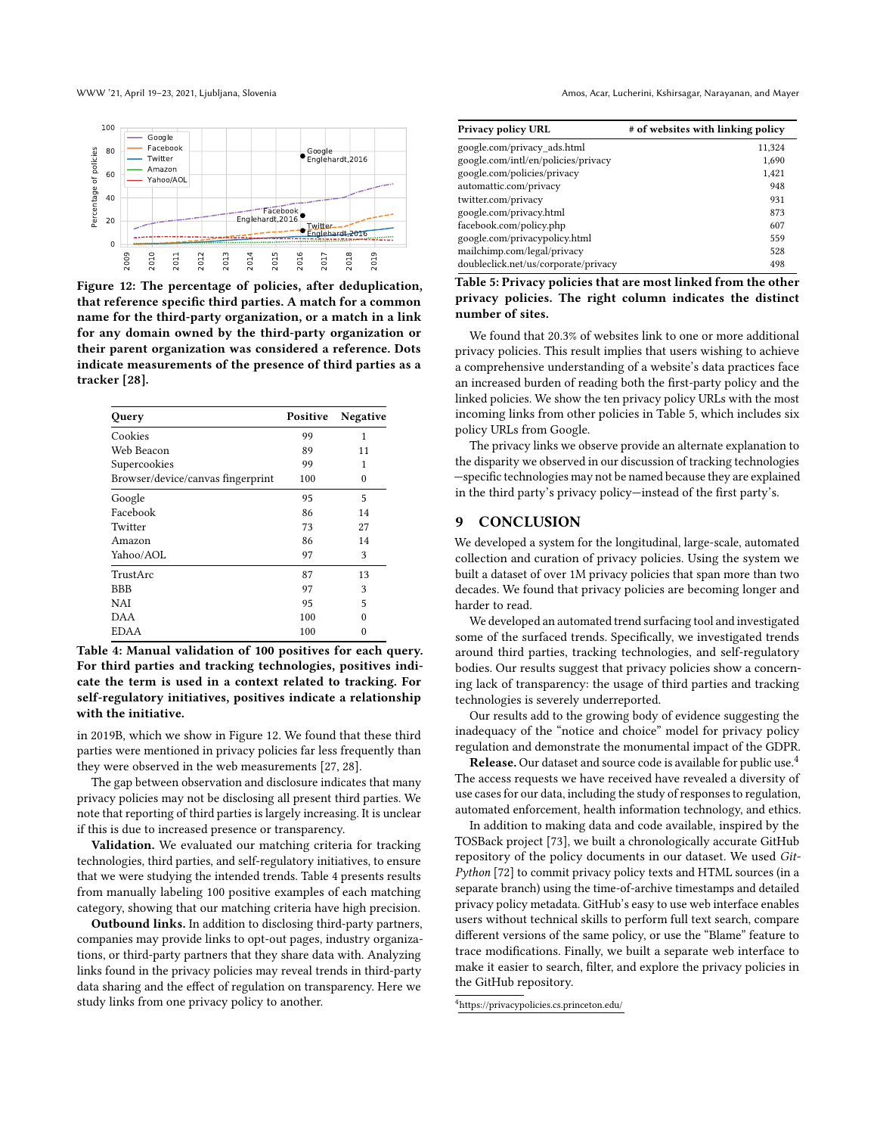<span id="page-9-1"></span>

Figure 12: The percentage of policies, after deduplication, that reference specific third parties. A match for a common name for the third-party organization, or a match in a link for any domain owned by the third-party organization or their parent organization was considered a reference. Dots indicate measurements of the presence of third parties as a tracker [\[28\]](#page-10-25).

<span id="page-9-2"></span>

| Query                             | Positive | Negative |
|-----------------------------------|----------|----------|
| Cookies                           | 99       | 1        |
| Web Beacon                        | 89       | 11       |
| Supercookies                      | 99       | 1        |
| Browser/device/canvas fingerprint | 100      | 0        |
| Google                            | 95       | 5        |
| Facebook                          | 86       | 14       |
| Twitter                           | 73       | 27       |
| Amazon                            | 86       | 14       |
| Yahoo/AOL                         | 97       | 3        |
| TrustArc                          | 87       | 13       |
| <b>BBB</b>                        | 97       | 3        |
| NAI                               | 95       | 5        |
| DAA                               | 100      | $\Omega$ |
| <b>EDAA</b>                       | 100      | 0        |

Table 4: Manual validation of 100 positives for each query. For third parties and tracking technologies, positives indicate the term is used in a context related to tracking. For self-regulatory initiatives, positives indicate a relationship with the initiative.

in 2019B, which we show in Figure [12.](#page-9-1) We found that these third parties were mentioned in privacy policies far less frequently than they were observed in the web measurements [\[27,](#page-10-30) [28\]](#page-10-25).

The gap between observation and disclosure indicates that many privacy policies may not be disclosing all present third parties. We note that reporting of third parties is largely increasing. It is unclear if this is due to increased presence or transparency.

Validation. We evaluated our matching criteria for tracking technologies, third parties, and self-regulatory initiatives, to ensure that we were studying the intended trends. Table [4](#page-9-2) presents results from manually labeling 100 positive examples of each matching category, showing that our matching criteria have high precision.

Outbound links. In addition to disclosing third-party partners, companies may provide links to opt-out pages, industry organizations, or third-party partners that they share data with. Analyzing links found in the privacy policies may reveal trends in third-party data sharing and the effect of regulation on transparency. Here we study links from one privacy policy to another.

<span id="page-9-3"></span>

| <b>Privacy policy URL</b>            | # of websites with linking policy |
|--------------------------------------|-----------------------------------|
| google.com/privacy ads.html          | 11,324                            |
| google.com/intl/en/policies/privacy  | 1,690                             |
| google.com/policies/privacy          | 1,421                             |
| automattic.com/privacy               | 948                               |
| twitter.com/privacy                  | 931                               |
| google.com/privacy.html              | 873                               |
| facebook.com/policy.php              | 607                               |
| google.com/privacypolicy.html        | 559                               |
| mailchimp.com/legal/privacy          | 528                               |
| doubleclick.net/us/corporate/privacy | 498                               |

Table 5: Privacy policies that are most linked from the other privacy policies. The right column indicates the distinct number of sites.

We found that 20.3% of websites link to one or more additional privacy policies. This result implies that users wishing to achieve a comprehensive understanding of a website's data practices face an increased burden of reading both the first-party policy and the linked policies. We show the ten privacy policy URLs with the most incoming links from other policies in Table [5,](#page-9-3) which includes six policy URLs from Google.

The privacy links we observe provide an alternate explanation to the disparity we observed in our discussion of tracking technologies —specific technologies may not be named because they are explained in the third party's privacy policy—instead of the first party's.

#### <span id="page-9-0"></span>9 CONCLUSION

We developed a system for the longitudinal, large-scale, automated collection and curation of privacy policies. Using the system we built a dataset of over 1M privacy policies that span more than two decades. We found that privacy policies are becoming longer and harder to read.

We developed an automated trend surfacing tool and investigated some of the surfaced trends. Specifically, we investigated trends around third parties, tracking technologies, and self-regulatory bodies. Our results suggest that privacy policies show a concerning lack of transparency: the usage of third parties and tracking technologies is severely underreported.

Our results add to the growing body of evidence suggesting the inadequacy of the "notice and choice" model for privacy policy regulation and demonstrate the monumental impact of the GDPR.

**Release.** Our dataset and source code is available for public use.<sup>[4](#page-9-4)</sup> The access requests we have received have revealed a diversity of use cases for our data, including the study of responses to regulation, automated enforcement, health information technology, and ethics.

In addition to making data and code available, inspired by the TOSBack project [\[73\]](#page-11-48), we built a chronologically accurate GitHub repository of the policy documents in our dataset. We used Git-Python [\[72\]](#page-11-49) to commit privacy policy texts and HTML sources (in a separate branch) using the time-of-archive timestamps and detailed privacy policy metadata. GitHub's easy to use web interface enables users without technical skills to perform full text search, compare different versions of the same policy, or use the "Blame" feature to trace modifications. Finally, we built a separate web interface to make it easier to search, filter, and explore the privacy policies in the GitHub repository.

<span id="page-9-4"></span> $^4$ <https://privacypolicies.cs.princeton.edu/>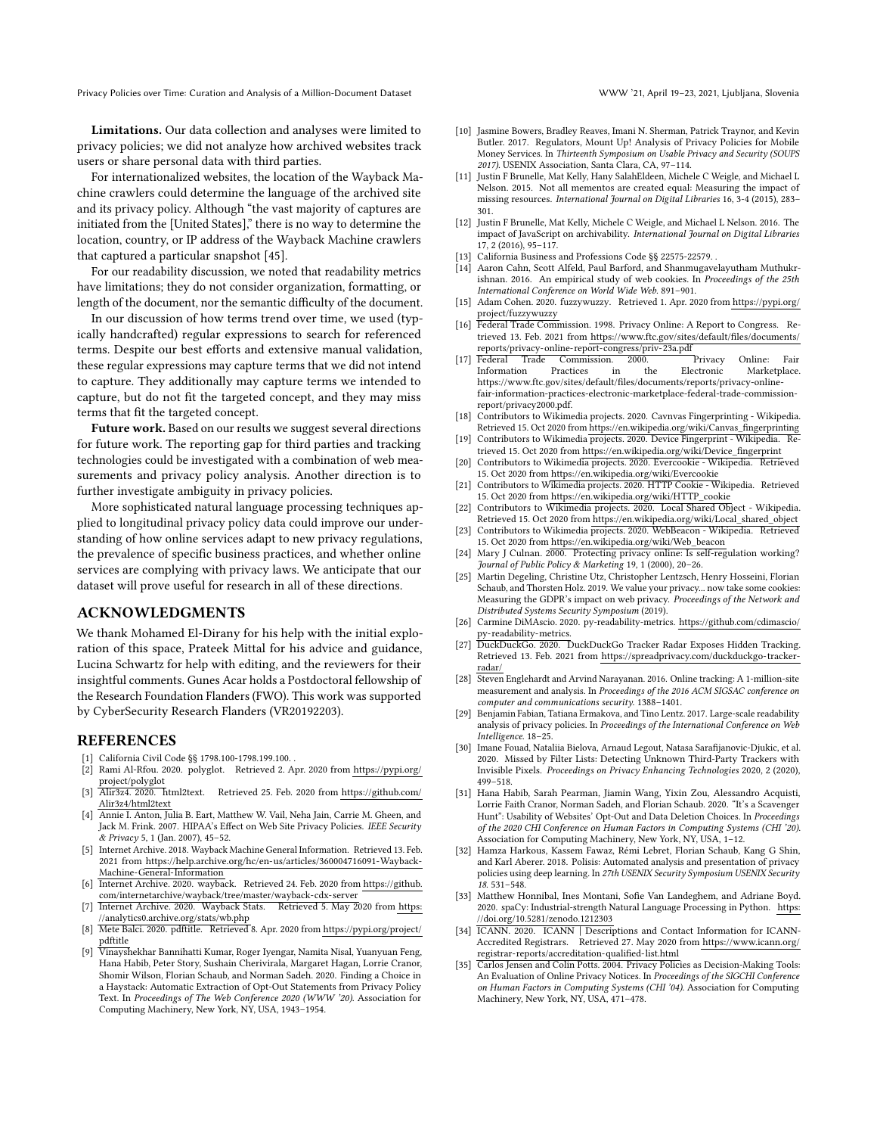Limitations. Our data collection and analyses were limited to privacy policies; we did not analyze how archived websites track users or share personal data with third parties.

For internationalized websites, the location of the Wayback Machine crawlers could determine the language of the archived site and its privacy policy. Although "the vast majority of captures are initiated from the [United States]," there is no way to determine the location, country, or IP address of the Wayback Machine crawlers that captured a particular snapshot [\[45\]](#page-11-50).

For our readability discussion, we noted that readability metrics have limitations; they do not consider organization, formatting, or length of the document, nor the semantic difficulty of the document.

In our discussion of how terms trend over time, we used (typically handcrafted) regular expressions to search for referenced terms. Despite our best efforts and extensive manual validation, these regular expressions may capture terms that we did not intend to capture. They additionally may capture terms we intended to capture, but do not fit the targeted concept, and they may miss terms that fit the targeted concept.

Future work. Based on our results we suggest several directions for future work. The reporting gap for third parties and tracking technologies could be investigated with a combination of web measurements and privacy policy analysis. Another direction is to further investigate ambiguity in privacy policies.

More sophisticated natural language processing techniques applied to longitudinal privacy policy data could improve our understanding of how online services adapt to new privacy regulations, the prevalence of specific business practices, and whether online services are complying with privacy laws. We anticipate that our dataset will prove useful for research in all of these directions.

## ACKNOWLEDGMENTS

We thank Mohamed El-Dirany for his help with the initial exploration of this space, Prateek Mittal for his advice and guidance, Lucina Schwartz for help with editing, and the reviewers for their insightful comments. Gunes Acar holds a Postdoctoral fellowship of the Research Foundation Flanders (FWO). This work was supported by CyberSecurity Research Flanders (VR20192203).

#### REFERENCES

- <span id="page-10-1"></span>[1] California Civil Code §§ 1798.100-1798.199.100. .
- <span id="page-10-15"></span>[2] Rami Al-Rfou. 2020. polyglot. Retrieved 2. Apr. 2020 from [https://pypi.org/](https://pypi.org/project/polyglot) [project/polyglot](https://pypi.org/project/polyglot)
- <span id="page-10-16"></span>[3] Alir3z4. 2020. html2text. Retrieved 25. Feb. 2020 from [https://github.com/](https://github.com/Alir3z4/html2text) [Alir3z4/html2text](https://github.com/Alir3z4/html2text)
- <span id="page-10-6"></span>[4] Annie I. Anton, Julia B. Eart, Matthew W. Vail, Neha Jain, Carrie M. Gheen, and Jack M. Frink. 2007. HIPAA's Effect on Web Site Privacy Policies. IEEE Security & Privacy 5, 1 (Jan. 2007), 45–52.
- <span id="page-10-14"></span>[5] Internet Archive. 2018. Wayback Machine General Information. Retrieved 13. Feb. 2021 from [https://help.archive.org/hc/en-us/articles/360004716091-Wayback-](https://help.archive.org/hc/en-us/articles/360004716091-Wayback-Machine-General-Information)[Machine-General-Information](https://help.archive.org/hc/en-us/articles/360004716091-Wayback-Machine-General-Information)
- <span id="page-10-13"></span>[6] Internet Archive. 2020. wayback. Retrieved 24. Feb. 2020 from [https://github.](https://github.com/internetarchive/wayback/tree/master/wayback-cdx-server) [com/internetarchive/wayback/tree/master/wayback-cdx-server](https://github.com/internetarchive/wayback/tree/master/wayback-cdx-server)
- <span id="page-10-19"></span>[7] Internet Archive. 2020. Wayback Stats. Retrieved 5. May 2020 from [https:](https://analytics0.archive.org/stats/wb.php) [//analytics0.archive.org/stats/wb.php](https://analytics0.archive.org/stats/wb.php)
- <span id="page-10-20"></span>[8] Mete Balci. 2020. pdftitle. Retrieved 8. Apr. 2020 from [https://pypi.org/project/](https://pypi.org/project/pdftitle) [pdftitle](https://pypi.org/project/pdftitle)
- <span id="page-10-11"></span>[9] Vinayshekhar Bannihatti Kumar, Roger Iyengar, Namita Nisal, Yuanyuan Feng, Hana Habib, Peter Story, Sushain Cherivirala, Margaret Hagan, Lorrie Cranor, Shomir Wilson, Florian Schaub, and Norman Sadeh. 2020. Finding a Choice in a Haystack: Automatic Extraction of Opt-Out Statements from Privacy Policy Text. In Proceedings of The Web Conference 2020 (WWW '20). Association for Computing Machinery, New York, NY, USA, 1943–1954.
- <span id="page-10-5"></span>[10] Jasmine Bowers, Bradley Reaves, Imani N. Sherman, Patrick Traynor, and Kevin Butler. 2017. Regulators, Mount Up! Analysis of Privacy Policies for Mobile Money Services. In Thirteenth Symposium on Usable Privacy and Security (SOUPS 2017). USENIX Association, Santa Clara, CA, 97–114.
- <span id="page-10-17"></span>[11] Justin F Brunelle, Mat Kelly, Hany SalahEldeen, Michele C Weigle, and Michael L Nelson. 2015. Not all mementos are created equal: Measuring the impact of missing resources. International Journal on Digital Libraries 16, 3-4 (2015), 283– 301.
- <span id="page-10-18"></span>[12] Justin F Brunelle, Mat Kelly, Michele C Weigle, and Michael L Nelson. 2016. The impact of JavaScript on archivability. International Journal on Digital Libraries 17, 2 (2016), 95–117.
- <span id="page-10-0"></span>[13] California Business and Professions Code §§ 22575-22579.
- <span id="page-10-26"></span>[14] Aaron Cahn, Scott Alfeld, Paul Barford, and Shanmugavelayutham Muthukrishnan. 2016. An empirical study of web cookies. In Proceedings of the 25th International Conference on World Wide Web. 891–901.
- <span id="page-10-23"></span>[15] Adam Cohen. 2020. fuzzywuzzy. Retrieved 1. Apr. 2020 from [https://pypi.org/](https://pypi.org/project/fuzzywuzzy) [project/fuzzywuzzy](https://pypi.org/project/fuzzywuzzy)
- <span id="page-10-2"></span>[16] Federal Trade Commission. 1998. Privacy Online: A Report to Congress. Retrieved 13. Feb. 2021 from [https://www.ftc.gov/sites/default/files/documents/](https://www.ftc.gov/sites/default/files/documents/reports/privacy-online-report-congress/priv-23a.pdf) [reports/privacy-online-report-congress/priv-23a.pdf](https://www.ftc.gov/sites/default/files/documents/reports/privacy-online-report-congress/priv-23a.pdf)
- <span id="page-10-3"></span>[17] Federal Trade Commission. 2000. Privacy Online: Fair in the Electronic Marketplace. https://www.ftc.gov/sites/default/files/documents/reports/privacy-onlinefair-information-practices-electronic-marketplace-federal-trade-commissionreport/privacy2000.pdf.
- <span id="page-10-28"></span>[18] Contributors to Wikimedia projects. 2020. Cavnvas Fingerprinting - Wikipedia. Retrieved 15. Oct 2020 from [https://en.wikipedia.org/wiki/Canvas\\_fingerprinting](https://en.wikipedia.org/wiki/Canvas_fingerprinting)
- [19] Contributors to Wikimedia projects. 2020. Device Fingerprint Wikipedia. Retrieved 15. Oct 2020 from [https://en.wikipedia.org/wiki/Device\\_fingerprint](https://en.wikipedia.org/wiki/Device_fingerprint)
- [20] Contributors to Wikimedia projects. 2020. Evercookie Wikipedia. Retrieved 15. Oct 2020 from<https://en.wikipedia.org/wiki/Evercookie>
- [21] Contributors to Wikimedia projects. 2020. HTTP Cookie Wikipedia. Retrieved 15. Oct 2020 from [https://en.wikipedia.org/wiki/HTTP\\_cookie](https://en.wikipedia.org/wiki/HTTP_cookie)
- [22] Contributors to Wikimedia projects. 2020. Local Shared Object Wikipedia. Retrieved 15. Oct 2020 from [https://en.wikipedia.org/wiki/Local\\_shared\\_object](https://en.wikipedia.org/wiki/Local_shared_object) [23] Contributors to Wikimedia projects. 2020. WebBeacon - Wikipedia. Retrieved
- <span id="page-10-29"></span>15. Oct 2020 from [https://en.wikipedia.org/wiki/Web\\_beacon](https://en.wikipedia.org/wiki/Web_beacon)
- <span id="page-10-4"></span>[24] Mary J Culnan. 2000. Protecting privacy online: Is self-regulation working? Journal of Public Policy & Marketing 19, 1 (2000), 20–26.
- <span id="page-10-7"></span>[25] Martin Degeling, Christine Utz, Christopher Lentzsch, Henry Hosseini, Florian Schaub, and Thorsten Holz. 2019. We value your privacy... now take some cookies: Measuring the GDPR's impact on web privacy. Proceedings of the Network and Distributed Systems Security Symposium (2019).
- <span id="page-10-22"></span>[26] Carmine DiMAscio. 2020. py-readability-metrics. [https://github.com/cdimascio/](https://github.com/cdimascio/py-readability-metrics) [py-readability-metrics.](https://github.com/cdimascio/py-readability-metrics)
- <span id="page-10-30"></span>[27] DuckDuckGo. 2020. DuckDuckGo Tracker Radar Exposes Hidden Tracking. Retrieved 13. Feb. 2021 from [https://spreadprivacy.com/duckduckgo-tracker](https://spreadprivacy.com/duckduckgo-tracker-radar/)[radar/](https://spreadprivacy.com/duckduckgo-tracker-radar/)
- <span id="page-10-25"></span>[28] Steven Englehardt and Arvind Narayanan. 2016. Online tracking: A 1-million-site measurement and analysis. In Proceedings of the 2016 ACM SIGSAC conference on computer and communications security. 1388–1401.
- <span id="page-10-9"></span>[29] Benjamin Fabian, Tatiana Ermakova, and Tino Lentz. 2017. Large-scale readability analysis of privacy policies. In Proceedings of the International Conference on Web Intelligence. 18–25.
- <span id="page-10-27"></span>[30] Imane Fouad, Nataliia Bielova, Arnaud Legout, Natasa Sarafijanovic-Djukic, et al. 2020. Missed by Filter Lists: Detecting Unknown Third-Party Trackers with Invisible Pixels. Proceedings on Privacy Enhancing Technologies 2020, 2 (2020), 499–518.
- <span id="page-10-8"></span>[31] Hana Habib, Sarah Pearman, Jiamin Wang, Yixin Zou, Alessandro Acquisti, Lorrie Faith Cranor, Norman Sadeh, and Florian Schaub. 2020. "It's a Scavenger Hunt": Usability of Websites' Opt-Out and Data Deletion Choices. In Proceedings of the 2020 CHI Conference on Human Factors in Computing Systems (CHI '20). Association for Computing Machinery, New York, NY, USA, 1–12.
- <span id="page-10-12"></span>[32] Hamza Harkous, Kassem Fawaz, Rémi Lebret, Florian Schaub, Kang G Shin, and Karl Aberer. 2018. Polisis: Automated analysis and presentation of privacy policies using deep learning. In 27th USENIX Security Symposium USENIX Security 18. 531–548.
- <span id="page-10-24"></span>[33] Matthew Honnibal, Ines Montani, Sofie Van Landeghem, and Adriane Boyd. 2020. spaCy: Industrial-strength Natural Language Processing in Python. [https:](https://doi.org/10.5281/zenodo.1212303) [//doi.org/10.5281/zenodo.1212303](https://doi.org/10.5281/zenodo.1212303)
- <span id="page-10-21"></span>[34] ICANN. 2020. ICANN | Descriptions and Contact Information for ICANN-Accredited Registrars. Retrieved 27. May 2020 from [https://www.icann.org/](https://www.icann.org/registrar-reports/accreditation-qualified-list.html) [registrar-reports/accreditation-qualified-list.html](https://www.icann.org/registrar-reports/accreditation-qualified-list.html)
- <span id="page-10-10"></span>[35] Carlos Jensen and Colin Potts. 2004. Privacy Policies as Decision-Making Tools: An Evaluation of Online Privacy Notices. In Proceedings of the SIGCHI Conference on Human Factors in Computing Systems (CHI '04). Association for Computing Machinery, New York, NY, USA, 471–478.